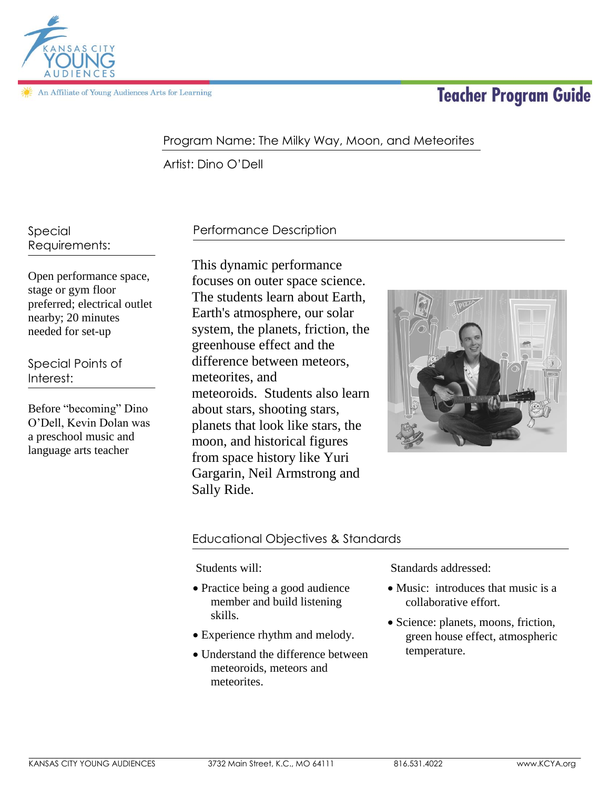

In Affiliate of Young Audiences Arts for Learning

# **Teacher Program Guide**

# Program Name: The Milky Way, Moon, and Meteorites

Artist: Dino O'Dell

Special Requirements:

Open performance space, stage or gym floor preferred; electrical outlet nearby; 20 minutes needed for set-up

Special Points of Interest:

Before "becoming" Dino O'Dell, Kevin Dolan was a preschool music and language arts teacher

# Performance Description

This dynamic performance focuses on outer space science. The students learn about Earth, Earth's atmosphere, our solar system, the planets, friction, the greenhouse effect and the difference between meteors, meteorites, and meteoroids. Students also learn about stars, shooting stars, planets that look like stars, the moon, and historical figures from space history like Yuri Gargarin, Neil Armstrong and Sally Ride.



# Educational Objectives & Standards

Students will:

- Practice being a good audience member and build listening skills.
- Experience rhythm and melody.
- Understand the difference between meteoroids, meteors and meteorites.

Standards addressed:

- Music: introduces that music is a collaborative effort.
- Science: planets, moons, friction, green house effect, atmospheric temperature.